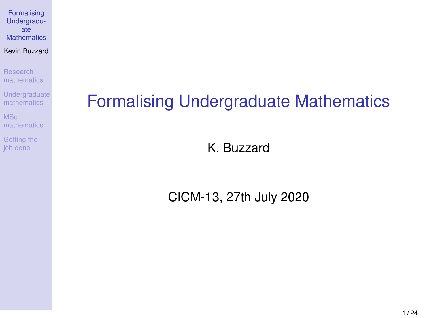#### <span id="page-0-1"></span><span id="page-0-0"></span>Kevin Buzzard

Research [mathematics](#page-2-0)

[Undergraduate](#page-8-0) mathematics

MSc [mathematics](#page-10-0)

[Getting the](#page-12-0) job done

## Formalising Undergraduate Mathematics

K. Buzzard

CICM-13, 27th July 2020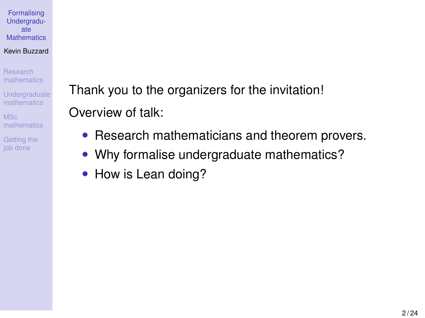#### Kevin Buzzard

Research [mathematics](#page-2-0)

**[Undergraduate](#page-8-0)** mathematics

MSc [mathematics](#page-10-0)

[Getting the](#page-12-0) job done

Thank you to the organizers for the invitation! Overview of talk:

- Research mathematicians and theorem provers.
- Why formalise undergraduate mathematics?
- How is Lean doing?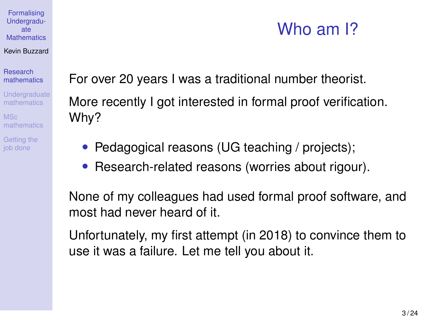#### Kevin Buzzard

Research [mathematics](#page-2-0)

**[Undergraduate](#page-8-0)** mathematics

MSc [mathematics](#page-10-0)

[Getting the](#page-12-0) job done

<span id="page-2-0"></span>For over 20 years I was a traditional number theorist.

More recently I got interested in formal proof verification. Why?

- Pedagogical reasons (UG teaching / projects);
- Research-related reasons (worries about rigour).

None of my colleagues had used formal proof software, and most had never heard of it.

Unfortunately, my first attempt (in 2018) to convince them to use it was a failure. Let me tell you about it.

### Who am I?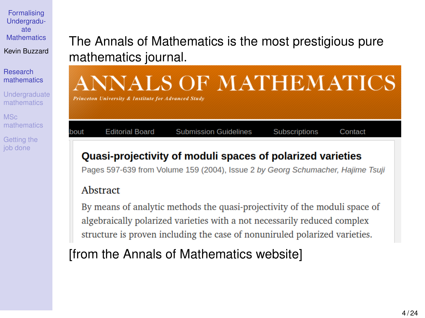Kevin Buzzard

Research [mathematics](#page-2-0)

**[Undergraduate](#page-8-0)** mathematics

MSc [mathematics](#page-10-0)

[Getting the](#page-12-0) job done

### The Annals of Mathematics is the most prestigious pure mathematics journal.

# ANNALS OF MATHEMATICS

**Princeton University & Institute for Advanced Study** 

**Editorial Board** 

**Submission Guidelines** 

Subscriptions

Contact

### Quasi-projectivity of moduli spaces of polarized varieties

Pages 597-639 from Volume 159 (2004), Issue 2 by Georg Schumacher, Hailme Tsuil

### Abstract

hout

By means of analytic methods the quasi-projectivity of the moduli space of algebraically polarized varieties with a not necessarily reduced complex structure is proven including the case of nonuniruled polarized varieties.

### [from the Annals of Mathematics website]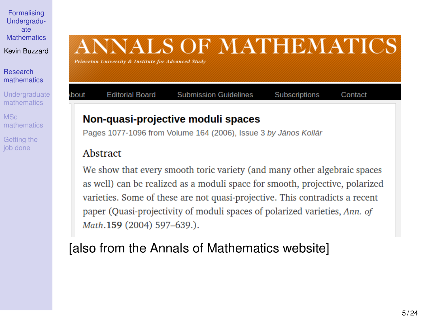Kevin Buzzard

Research [mathematics](#page-2-0)

**[Undergraduate](#page-8-0)** mathematics

MSc [mathematics](#page-10-0)

[Getting the](#page-12-0) job done

# **ANNALS OF MATHEMATICS**

Subscriptions

Contact

**Princeton University & Institute for Advanced Study** 

**Editorial Board** 

### Non-quasi-projective moduli spaces

Pages 1077-1096 from Volume 164 (2006). Issue 3 by János Kollár

**Submission Guidelines** 

### Abstract

hout

We show that every smooth toric variety (and many other algebraic spaces as well) can be realized as a moduli space for smooth, projective, polarized varieties. Some of these are not quasi-projective. This contradicts a recent paper (Quasi-projectivity of moduli spaces of polarized varieties, Ann. of Math.159 (2004) 597-639.).

### [also from the Annals of Mathematics website]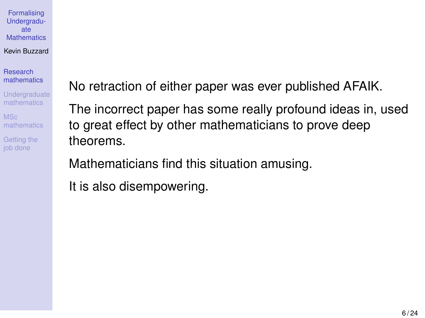Kevin Buzzard

Research [mathematics](#page-2-0)

**[Undergraduate](#page-8-0)** mathematics

MSc [mathematics](#page-10-0)

[Getting the](#page-12-0) job done

No retraction of either paper was ever published AFAIK.

The incorrect paper has some really profound ideas in, used to great effect by other mathematicians to prove deep theorems.

Mathematicians find this situation amusing.

It is also disempowering.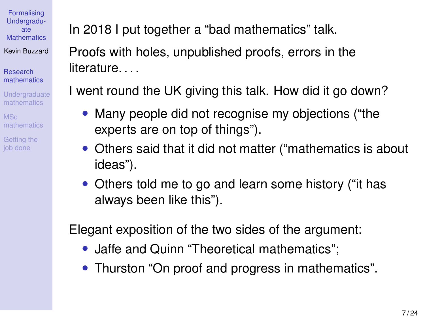Kevin Buzzard

Research [mathematics](#page-2-0)

**[Undergraduate](#page-8-0)** mathematics

MSc [mathematics](#page-10-0)

[Getting the](#page-12-0) job done

In 2018 I put together a "bad mathematics" talk.

Proofs with holes, unpublished proofs, errors in the literature....

I went round the UK giving this talk. How did it go down?

- Many people did not recognise my objections ("the experts are on top of things").
- Others said that it did not matter ("mathematics is about ideas").
- Others told me to go and learn some history ("it has always been like this").

Elegant exposition of the two sides of the argument:

- Jaffe and Quinn "Theoretical mathematics":
- [Thurston "On proof and progress in mathematics".](https://arxiv.org/abs/math/9404236)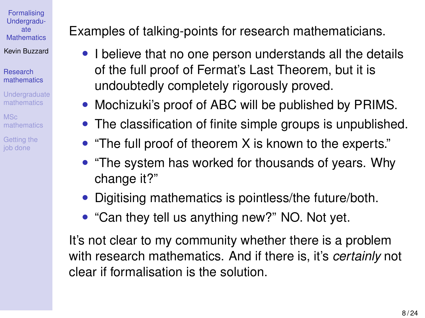Research [mathematics](#page-2-0)

**[Undergraduate](#page-8-0)** mathematics

MSc [mathematics](#page-10-0)

[Getting the](#page-12-0) job done

Examples of talking-points for research mathematicians.

- I believe that no one person understands all the details of the full proof of Fermat's Last Theorem, but it is undoubtedly completely rigorously proved.
- Mochizuki's proof of ABC will be published by PRIMS.
- The classification of finite simple groups is unpublished.
- "The full proof of theorem X is known to the experts."
- "The system has worked for thousands of years. Why change it?"
- Digitising mathematics is pointless/the future/both.
- "Can they tell us anything new?" NO. Not yet.

It's not clear to my community whether there is a problem with research mathematics. And if there is, it's *certainly* not clear if formalisation is the solution.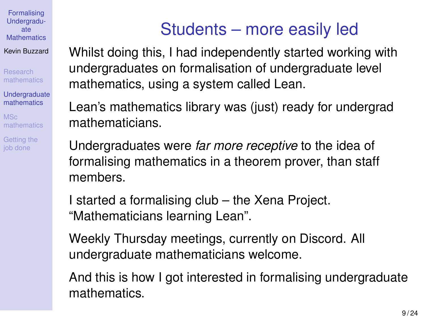Kevin Buzzard

Research [mathematics](#page-2-0)

**[Undergraduate](#page-8-0)** mathematics

MSc [mathematics](#page-10-0)

[Getting the](#page-12-0) job done

# Students – more easily led

<span id="page-8-0"></span>Whilst doing this, I had independently started working with undergraduates on formalisation of undergraduate level mathematics, using a system called Lean.

Lean's mathematics library was (just) ready for undergrad mathematicians.

Undergraduates were *far more receptive* to the idea of formalising mathematics in a theorem prover, than staff members.

I started a formalising club – the Xena Project. "Mathematicians learning Lean".

Weekly Thursday meetings, currently [on Discord.](#page-0-1) All undergraduate mathematicians welcome.

And this is how I got interested in formalising undergraduate mathematics.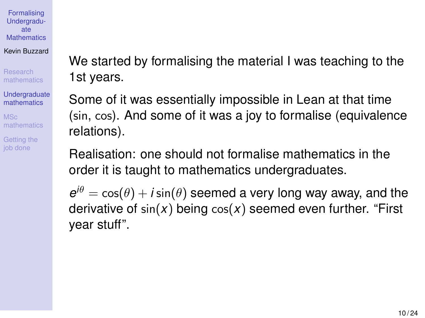Kevin Buzzard

Research [mathematics](#page-2-0)

**[Undergraduate](#page-8-0)** mathematics

MSc [mathematics](#page-10-0)

[Getting the](#page-12-0) job done

We started by formalising the material I was teaching to the 1st years.

Some of it was essentially impossible in Lean at that time (sin, cos). And some of it was a joy to formalise (equivalence relations).

Realisation: one should not formalise mathematics in the order it is taught to mathematics undergraduates.

 $e^{i\theta} = \cos(\theta) + i \sin(\theta)$  seemed a very long way away, and the derivative of sin(*x*) being cos(*x*) seemed even further. "First year stuff".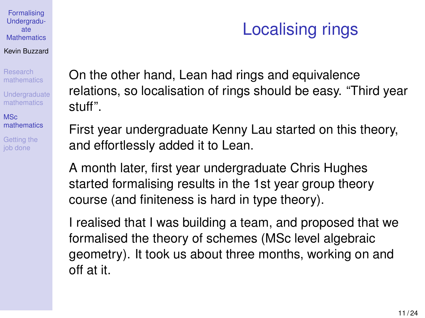#### Kevin Buzzard

Research [mathematics](#page-2-0)

**[Undergraduate](#page-8-0)** mathematics

M<sub>Sc</sub> [mathematics](#page-10-0)

[Getting the](#page-12-0) job done

<span id="page-10-0"></span>On the other hand, Lean had rings and equivalence relations, so localisation of rings should be easy. "Third year stuff".

First year undergraduate Kenny Lau started on this theory, and effortlessly added it to Lean.

A month later, first year undergraduate Chris Hughes started formalising results in the 1st year group theory course (and finiteness is hard in type theory).

I realised that I was building a team, and proposed that we formalised the theory of schemes (MSc level algebraic geometry). It took us about three months, working on and off at it.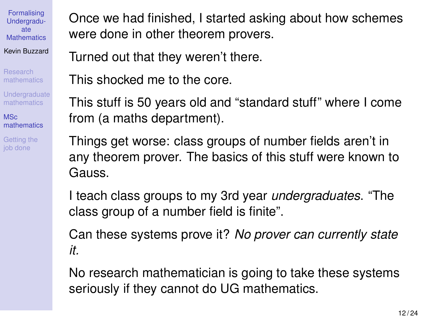Research [mathematics](#page-2-0)

**[Undergraduate](#page-8-0)** mathematics

**MSc** [mathematics](#page-10-0)

[Getting the](#page-12-0) job done

Once we had finished, I started asking about how schemes were done in other theorem provers.

Turned out that they weren't there.

This shocked me to the core.

This stuff is 50 years old and "standard stuff" where I come from (a maths department).

Things get worse: class groups of number fields aren't in any theorem prover. The basics of this stuff were known to Gauss.

I teach class groups to my 3rd year *undergraduates*. "The class group of a number field is finite".

Can these systems prove it? *No prover can currently state it.*

No research mathematician is going to take these systems seriously if they cannot do UG mathematics.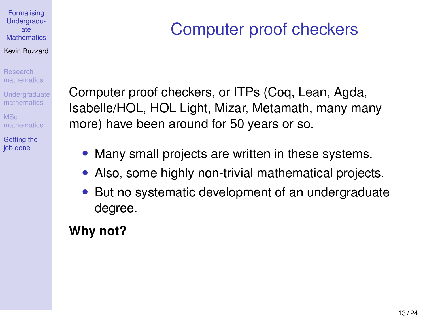#### <span id="page-12-0"></span>Kevin Buzzard

Research [mathematics](#page-2-0)

**[Undergraduate](#page-8-0)** mathematics

MSc [mathematics](#page-10-0)

[Getting the](#page-12-0) job done

## Computer proof checkers

Computer proof checkers, or ITPs (Coq, Lean, Agda, Isabelle/HOL, HOL Light, Mizar, Metamath, many many more) have been around for 50 years or so.

- Many small projects are written in these systems.
- Also, some highly non-trivial mathematical projects.
- But no systematic development of an undergraduate degree.

### **Why not?**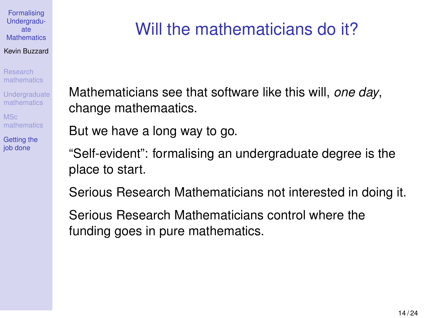#### Kevin Buzzard

Research [mathematics](#page-2-0)

**[Undergraduate](#page-8-0)** mathematics

MSc [mathematics](#page-10-0)

[Getting the](#page-12-0) job done

## Will the mathematicians do it?

Mathematicians see that software like this will, *one day*, change mathemaatics.

But we have a long way to go.

"Self-evident": formalising an undergraduate degree is the place to start.

Serious Research Mathematicians not interested in doing it.

Serious Research Mathematicians control where the funding goes in pure mathematics.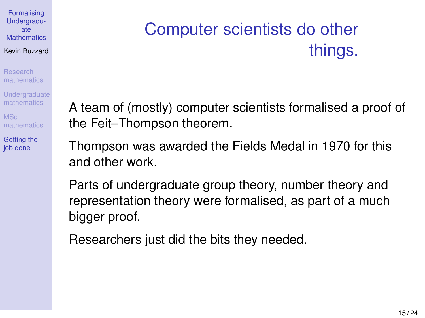#### Kevin Buzzard

Research [mathematics](#page-2-0)

**[Undergraduate](#page-8-0)** mathematics

MSc [mathematics](#page-10-0)

[Getting the](#page-12-0) job done

# Computer scientists do other things.

A team of (mostly) computer scientists formalised a proof of the Feit–Thompson theorem.

Thompson was awarded the Fields Medal in 1970 for this and other work.

Parts of undergraduate group theory, number theory and representation theory were formalised, as part of a much bigger proof.

Researchers just did the bits they needed.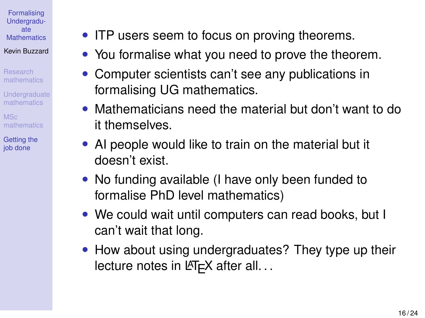Kevin Buzzard

Research [mathematics](#page-2-0)

**[Undergraduate](#page-8-0)** mathematics

MSc [mathematics](#page-10-0)

[Getting the](#page-12-0) job done

- ITP users seem to focus on proving theorems.
- You formalise what you need to prove the theorem.
- Computer scientists can't see any publications in formalising UG mathematics.
- Mathematicians need the material but don't want to do it themselves.
- AI people would like to train on the material but it doesn't exist.
- No funding available (I have only been funded to formalise PhD level mathematics)
- We could wait until computers can read books, but I can't wait that long.
- How about using undergraduates? They type up their lecture notes in  $\cancel{\text{ETr}}$  after all...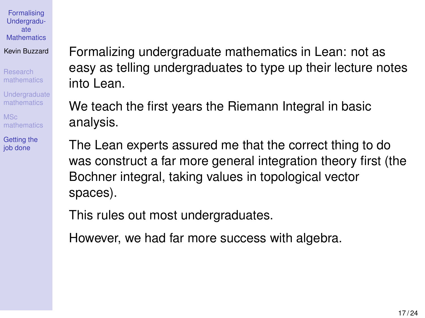Kevin Buzzard

Research [mathematics](#page-2-0)

**[Undergraduate](#page-8-0)** mathematics

MSc [mathematics](#page-10-0)

[Getting the](#page-12-0) job done

Formalizing undergraduate mathematics in Lean: not as easy as telling undergraduates to type up their lecture notes into Lean.

We teach the first years the Riemann Integral in basic analysis.

The Lean experts assured me that the correct thing to do was construct a far more general integration theory first (the Bochner integral, taking values in topological vector spaces).

This rules out most undergraduates.

However, we had far more success with algebra.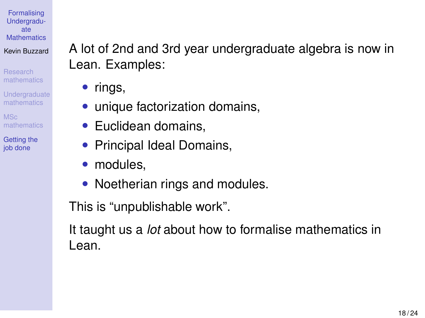Kevin Buzzard

Research [mathematics](#page-2-0)

**[Undergraduate](#page-8-0)** mathematics

MSc [mathematics](#page-10-0)

[Getting the](#page-12-0) job done

A lot of 2nd and 3rd year undergraduate algebra is now in Lean. Examples:

- rings,
- unique factorization domains,
- Euclidean domains.
- Principal Ideal Domains,
- modules.
- Noetherian rings and modules.

This is "unpublishable work".

It taught us a *lot* about how to formalise mathematics in Lean.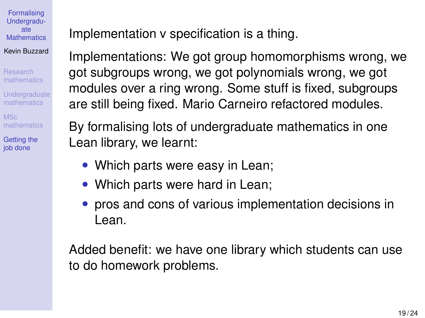Research [mathematics](#page-2-0)

**[Undergraduate](#page-8-0)** mathematics

MSc [mathematics](#page-10-0)

[Getting the](#page-12-0) job done

Implementation v specification is a thing.

Implementations: We got group homomorphisms wrong, we got subgroups wrong, we got polynomials wrong, we got modules over a ring wrong. Some stuff is fixed, subgroups are still being fixed. Mario Carneiro refactored modules.

By formalising lots of undergraduate mathematics in one Lean library, we learnt:

- Which parts were easy in Lean;
- Which parts were hard in Lean;
- pros and cons of various implementation decisions in Lean.

Added benefit: we have one library which students can use to do homework problems.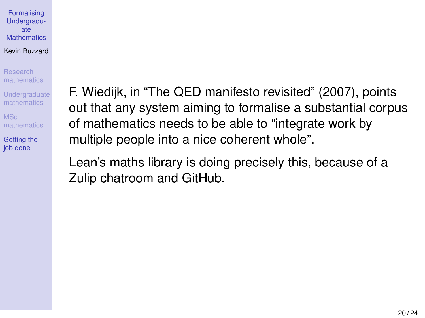#### Kevin Buzzard

Research [mathematics](#page-2-0)

**[Undergraduate](#page-8-0)** mathematics

MSc [mathematics](#page-10-0)

[Getting the](#page-12-0) job done

F. Wiedijk, in "The QED manifesto revisited" (2007), points out that any system aiming to formalise a substantial corpus of mathematics needs to be able to "integrate work by multiple people into a nice coherent whole".

Lean's maths library is doing precisely this, because of a Zulip chatroom and GitHub.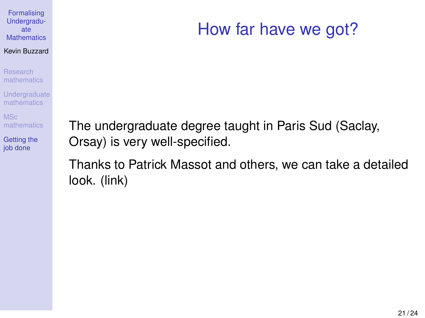## How far have we got?

Research [mathematics](#page-2-0)

**[Undergraduate](#page-8-0)** mathematics

MSc [mathematics](#page-10-0)

[Getting the](#page-12-0) job done

The undergraduate degree taught in Paris Sud (Saclay, Orsay) is very well-specified.

Thanks to Patrick Massot and others, we can take a detailed look. [\(link\)](https://leanprover-community.github.io/undergrad.html)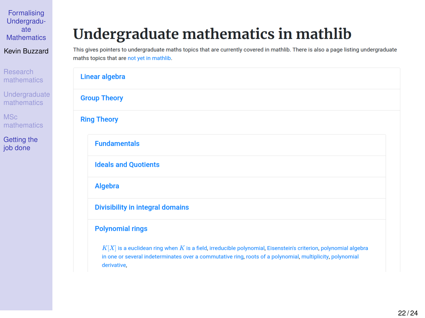Kevin Buzzard

Research [mathematics](#page-2-0)

**[Undergraduate](#page-8-0)** mathematics

MSc [mathematics](#page-10-0)

[Getting the](#page-12-0) job done

### Undergraduate mathematics in mathlib

This gives pointers to undergraduate maths topics that are currently covered in mathlib. There is also a page listing undergraduate maths topics that are not yet in mathlib.

| Linear algebra                                                                                                                                                                                                                                 |
|------------------------------------------------------------------------------------------------------------------------------------------------------------------------------------------------------------------------------------------------|
| <b>Group Theory</b>                                                                                                                                                                                                                            |
| <b>Ring Theory</b>                                                                                                                                                                                                                             |
| <b>Fundamentals</b>                                                                                                                                                                                                                            |
| <b>Ideals and Quotients</b>                                                                                                                                                                                                                    |
| Algebra                                                                                                                                                                                                                                        |
| <b>Divisibility in integral domains</b>                                                                                                                                                                                                        |
| <b>Polynomial rings</b>                                                                                                                                                                                                                        |
| $K[X]$ is a euclidean ring when $K$ is a field, irreducible polynomial, Eisenstein's criterion, polynomial algebra<br>in one or several indeterminates over a commutative ring, roots of a polynomial, multiplicity, polynomial<br>derivative, |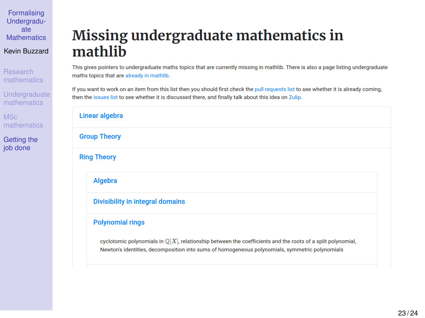Research [mathematics](#page-2-0)

**[Undergraduate](#page-8-0)** mathematics

MSc [mathematics](#page-10-0)

[Getting the](#page-12-0) job done

### Missing undergraduate mathematics in mathlib

This gives pointers to undergraduate maths topics that are currently missing in mathlib. There is also a page listing undergraduate maths topics that are already in mathlib.

If you want to work on an item from this list then you should first check the pull requests list to see whether it is already coming. then the issues list to see whether it is discussed there, and finally talk about this idea on Zulip.

| Linear algebra      |                                                                                                                                                                                                                          |
|---------------------|--------------------------------------------------------------------------------------------------------------------------------------------------------------------------------------------------------------------------|
| <b>Group Theory</b> |                                                                                                                                                                                                                          |
| <b>Ring Theory</b>  |                                                                                                                                                                                                                          |
|                     | Algebra                                                                                                                                                                                                                  |
|                     | <b>Divisibility in integral domains</b>                                                                                                                                                                                  |
|                     | <b>Polynomial rings</b>                                                                                                                                                                                                  |
|                     | cyclotomic polynomials in $\mathbb{Q}[X]$ , relationship between the coefficients and the roots of a split polynomial,<br>Newton's identities, decomposition into sums of homogeneous polynomials, symmetric polynomials |